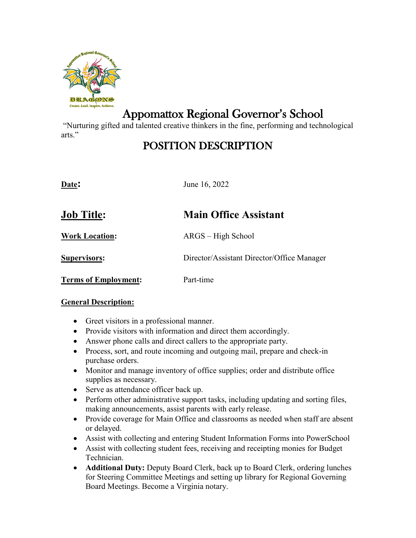

# Appomattox Regional Governor's School

"Nurturing gifted and talented creative thinkers in the fine, performing and technological arts."

# POSITION DESCRIPTION

| Date:                       | June 16, 2022                              |
|-----------------------------|--------------------------------------------|
| <b>Job Title:</b>           | <b>Main Office Assistant</b>               |
| <b>Work Location:</b>       | ARGS – High School                         |
| <b>Supervisors:</b>         | Director/Assistant Director/Office Manager |
| <b>Terms of Employment:</b> | Part-time                                  |

#### **General Description:**

- Greet visitors in a professional manner.
- Provide visitors with information and direct them accordingly.
- Answer phone calls and direct callers to the appropriate party.
- Process, sort, and route incoming and outgoing mail, prepare and check-in purchase orders.
- Monitor and manage inventory of office supplies; order and distribute office supplies as necessary.
- Serve as attendance officer back up.
- Perform other administrative support tasks, including updating and sorting files, making announcements, assist parents with early release.
- Provide coverage for Main Office and classrooms as needed when staff are absent or delayed.
- Assist with collecting and entering Student Information Forms into PowerSchool
- Assist with collecting student fees, receiving and receipting monies for Budget Technician.
- **Additional Duty:** Deputy Board Clerk, back up to Board Clerk, ordering lunches for Steering Committee Meetings and setting up library for Regional Governing Board Meetings. Become a Virginia notary.